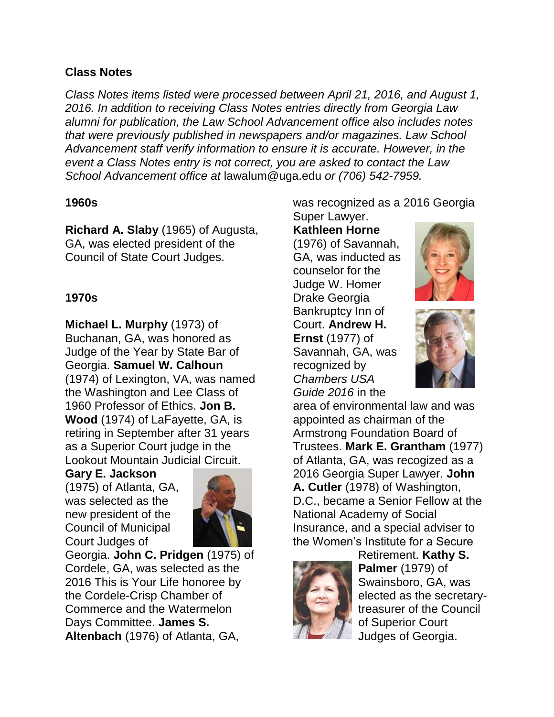# **Class Notes**

*Class Notes items listed were processed between April 21, 2016, and August 1, 2016. In addition to receiving Class Notes entries directly from Georgia Law alumni for publication, the Law School Advancement office also includes notes that were previously published in newspapers and/or magazines. Law School Advancement staff verify information to ensure it is accurate. However, in the event a Class Notes entry is not correct, you are asked to contact the Law School Advancement office at* lawalum@uga.edu *or (706) 542-7959.*

#### **1960s**

**Richard A. Slaby** (1965) of Augusta, GA, was elected president of the Council of State Court Judges.

#### **1970s**

**Michael L. Murphy** (1973) of Buchanan, GA, was honored as Judge of the Year by State Bar of Georgia. **Samuel W. Calhoun**  (1974) of Lexington, VA, was named the Washington and Lee Class of 1960 Professor of Ethics. **Jon B. Wood** (1974) of LaFayette, GA, is retiring in September after 31 years as a Superior Court judge in the Lookout Mountain Judicial Circuit.

# **Gary E. Jackson**

(1975) of Atlanta, GA, was selected as the new president of the Council of Municipal Court Judges of



Georgia. **John C. Pridgen** (1975) of Cordele, GA, was selected as the 2016 This is Your Life honoree by the Cordele-Crisp Chamber of Commerce and the Watermelon Days Committee. **James S. Altenbach** (1976) of Atlanta, GA,

was recognized as a 2016 Georgia Super Lawyer.

# **Kathleen Horne**

(1976) of Savannah, GA, was inducted as counselor for the Judge W. Homer Drake Georgia Bankruptcy Inn of Court. **Andrew H. Ernst** (1977) of Savannah, GA, was recognized by *Chambers USA Guide 2016* in the





area of environmental law and was appointed as chairman of the Armstrong Foundation Board of Trustees. **Mark E. Grantham** (1977) of Atlanta, GA, was recogized as a 2016 Georgia Super Lawyer. **John A. Cutler** (1978) of Washington, D.C., became a Senior Fellow at the National Academy of Social Insurance, and a special adviser to the Women's Institute for a Secure



Retirement. **Kathy S. Palmer** (1979) of Swainsboro, GA, was elected as the secretarytreasurer of the Council of Superior Court Judges of Georgia.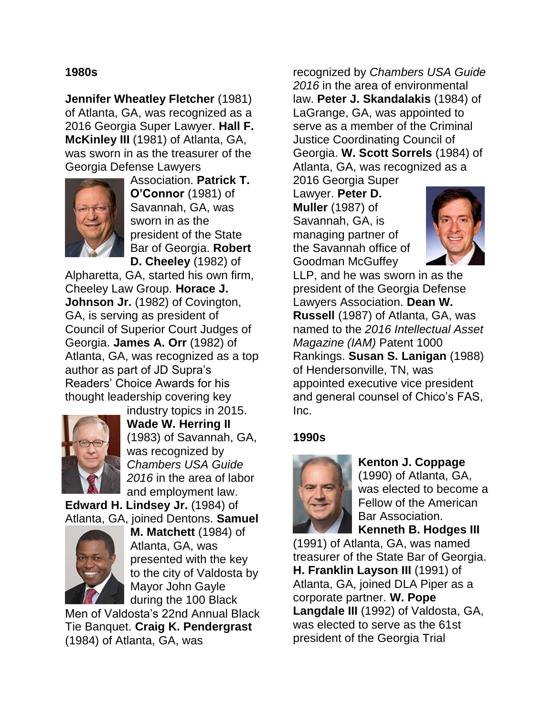#### **1980s**

**Jennifer Wheatley Fletcher** (1981) of Atlanta, GA, was recognized as a 2016 Georgia Super Lawyer. **Hall F. McKinley III** (1981) of Atlanta, GA, was sworn in as the treasurer of the Georgia Defense Lawyers



Association. **Patrick T. O'Connor** (1981) of Savannah, GA, was sworn in as the president of the State Bar of Georgia. **Robert D. Cheeley** (1982) of

Alpharetta, GA, started his own firm, Cheeley Law Group. **Horace J. Johnson Jr.** (1982) of Covington, GA, is serving as president of Council of Superior Court Judges of Georgia. **James A. Orr** (1982) of Atlanta, GA, was recognized as a top author as part of JD Supra's Readers' Choice Awards for his thought leadership covering key



industry topics in 2015. **Wade W. Herring II** (1983) of Savannah, GA, was recognized by *Chambers USA Guide 2016* in the area of labor and employment law.

**Edward H. Lindsey Jr.** (1984) of Atlanta, GA, joined Dentons. **Samuel** 



**M. Matchett** (1984) of Atlanta, GA, was presented with the key to the city of Valdosta by Mayor John Gayle during the 100 Black

Men of Valdosta's 22nd Annual Black Tie Banquet. **Craig K. Pendergrast** (1984) of Atlanta, GA, was

recognized by *Chambers USA Guide 2016* in the area of environmental law. **Peter J. Skandalakis** (1984) of LaGrange, GA, was appointed to serve as a member of the Criminal Justice Coordinating Council of Georgia. **W. Scott Sorrels** (1984) of Atlanta, GA, was recognized as a

2016 Georgia Super Lawyer. **Peter D. Muller** (1987) of Savannah, GA, is managing partner of the Savannah office of Goodman McGuffey



LLP, and he was sworn in as the president of the Georgia Defense Lawyers Association. **Dean W. Russell** (1987) of Atlanta, GA, was named to the *2016 Intellectual Asset Magazine (IAM)* Patent 1000 Rankings. **Susan S. Lanigan** (1988) of Hendersonville, TN, was appointed executive vice president and general counsel of Chico's FAS, Inc.

#### **1990s**



**Kenton J. Coppage**  (1990) of Atlanta, GA, was elected to become a Fellow of the American Bar Association. **Kenneth B. Hodges III**

(1991) of Atlanta, GA, was named treasurer of the State Bar of Georgia. **H. Franklin Layson III** (1991) of Atlanta, GA, joined DLA Piper as a corporate partner. **W. Pope Langdale III** (1992) of Valdosta, GA, was elected to serve as the 61st president of the Georgia Trial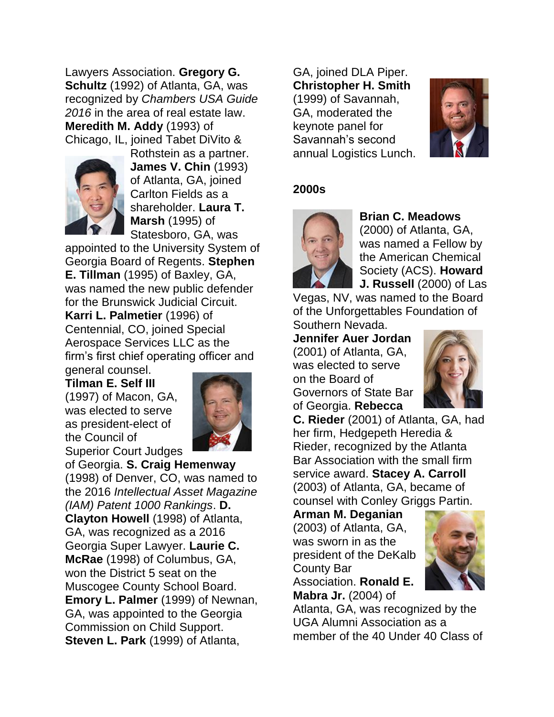Lawyers Association. **Gregory G. Schultz** (1992) of Atlanta, GA, was recognized by *Chambers USA Guide 2016* in the area of real estate law. **Meredith M. Addy** (1993) of Chicago, IL, joined Tabet DiVito &



Rothstein as a partner. **James V. Chin** (1993) of Atlanta, GA, joined Carlton Fields as a shareholder. **Laura T. Marsh** (1995) of Statesboro, GA, was

appointed to the University System of Georgia Board of Regents. **Stephen E. Tillman** (1995) of Baxley, GA, was named the new public defender for the Brunswick Judicial Circuit. **Karri L. Palmetier** (1996) of Centennial, CO, joined Special Aerospace Services LLC as the firm's first chief operating officer and general counsel.

**Tilman E. Self III** (1997) of Macon, GA, was elected to serve as president-elect of the Council of Superior Court Judges



of Georgia. **S. Craig Hemenway** (1998) of Denver, CO, was named to the 2016 *Intellectual Asset Magazine (IAM) Patent 1000 Rankings*. **D. Clayton Howell** (1998) of Atlanta, GA, was recognized as a 2016 Georgia Super Lawyer. **Laurie C. McRae** (1998) of Columbus, GA, won the District 5 seat on the Muscogee County School Board. **Emory L. Palmer** (1999) of Newnan, GA, was appointed to the Georgia Commission on Child Support. **Steven L. Park** (1999) of Atlanta,

GA, joined DLA Piper. **Christopher H. Smith** (1999) of Savannah, GA, moderated the keynote panel for Savannah's second annual Logistics Lunch.



# **2000s**



#### **Brian C. Meadows**  (2000) of Atlanta, GA, was named a Fellow by the American Chemical Society (ACS). **Howard J. Russell** (2000) of Las

Vegas, NV, was named to the Board of the Unforgettables Foundation of Southern Nevada.

**Jennifer Auer Jordan** (2001) of Atlanta, GA, was elected to serve on the Board of Governors of State Bar of Georgia. **Rebecca** 



**C. Rieder** (2001) of Atlanta, GA, had her firm, Hedgepeth Heredia & Rieder, recognized by the Atlanta Bar Association with the small firm service award. **Stacey A. Carroll** (2003) of Atlanta, GA, became of counsel with Conley Griggs Partin.

**Arman M. Deganian** (2003) of Atlanta, GA, was sworn in as the president of the DeKalb County Bar Association. **Ronald E. Mabra Jr.** (2004) of



Atlanta, GA, was recognized by the UGA Alumni Association as a member of the 40 Under 40 Class of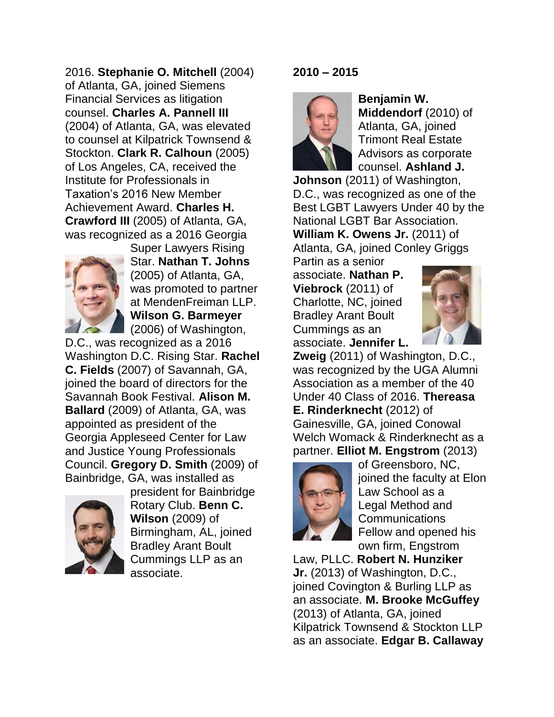2016. **Stephanie O. Mitchell** (2004) of Atlanta, GA, joined Siemens Financial Services as litigation counsel. **Charles A. Pannell III** (2004) of Atlanta, GA, was elevated to counsel at Kilpatrick Townsend & Stockton. **Clark R. Calhoun** (2005) of Los Angeles, CA, received the Institute for Professionals in Taxation's 2016 New Member Achievement Award. **Charles H. Crawford III** (2005) of Atlanta, GA, was recognized as a 2016 Georgia



Super Lawyers Rising Star. **Nathan T. Johns** (2005) of Atlanta, GA, was promoted to partner at MendenFreiman LLP. **Wilson G. Barmeyer** (2006) of Washington,

D.C., was recognized as a 2016 Washington D.C. Rising Star. **Rachel C. Fields** (2007) of Savannah, GA, joined the board of directors for the Savannah Book Festival. **Alison M. Ballard** (2009) of Atlanta, GA, was appointed as president of the Georgia Appleseed Center for Law and Justice Young Professionals Council. **Gregory D. Smith** (2009) of Bainbridge, GA, was installed as



president for Bainbridge Rotary Club. **Benn C. Wilson** (2009) of Birmingham, AL, joined Bradley Arant Boult Cummings LLP as an associate.

### **2010 – 2015**



**Benjamin W. Middendorf** (2010) of Atlanta, GA, joined Trimont Real Estate Advisors as corporate counsel. **Ashland J.** 

**Johnson** (2011) of Washington, D.C., was recognized as one of the Best LGBT Lawyers Under 40 by the National LGBT Bar Association. **William K. Owens Jr.** (2011) of Atlanta, GA, joined Conley Griggs

Partin as a senior associate. **Nathan P. Viebrock** (2011) of Charlotte, NC, joined Bradley Arant Boult Cummings as an associate. **Jennifer L.** 



**Zweig** (2011) of Washington, D.C., was recognized by the UGA Alumni Association as a member of the 40 Under 40 Class of 2016. **Thereasa E. Rinderknecht** (2012) of Gainesville, GA, joined Conowal Welch Womack & Rinderknecht as a partner. **Elliot M. Engstrom** (2013)



of Greensboro, NC, joined the faculty at Elon Law School as a Legal Method and Communications Fellow and opened his own firm, Engstrom

Law, PLLC. **Robert N. Hunziker Jr.** (2013) of Washington, D.C., joined Covington & Burling LLP as an associate. **M. Brooke McGuffey** (2013) of Atlanta, GA, joined Kilpatrick Townsend & Stockton LLP as an associate. **Edgar B. Callaway**